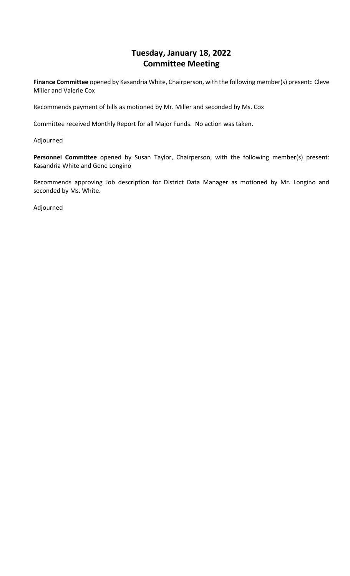## **Tuesday, January 18, 2022 Committee Meeting**

**Finance Committee** opened by Kasandria White, Chairperson, with the following member(s) present**:** Cleve Miller and Valerie Cox

Recommends payment of bills as motioned by Mr. Miller and seconded by Ms. Cox

Committee received Monthly Report for all Major Funds. No action was taken.

Adjourned

**Personnel Committee** opened by Susan Taylor, Chairperson, with the following member(s) present: Kasandria White and Gene Longino

Recommends approving Job description for District Data Manager as motioned by Mr. Longino and seconded by Ms. White.

Adjourned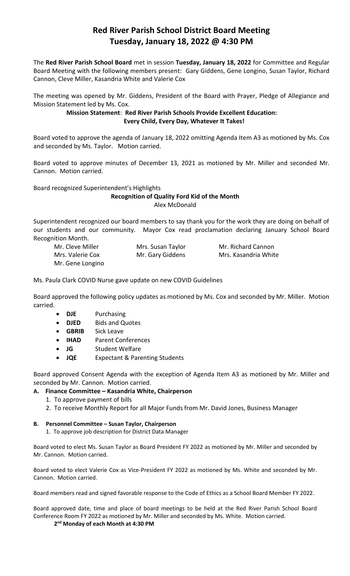# **Red River Parish School District Board Meeting Tuesday, January 18, 2022 @ 4:30 PM**

The **Red River Parish School Board** met in session **Tuesday, January 18, 2022** for Committee and Regular Board Meeting with the following members present: Gary Giddens, Gene Longino, Susan Taylor, Richard Cannon, Cleve Miller, Kasandria White and Valerie Cox

The meeting was opened by Mr. Giddens, President of the Board with Prayer, Pledge of Allegiance and Mission Statement led by Ms. Cox.

## **Mission Statement**: **Red River Parish Schools Provide Excellent Education: Every Child, Every Day, Whatever It Takes!**

Board voted to approve the agenda of January 18, 2022 omitting Agenda Item A3 as motioned by Ms. Cox and seconded by Ms. Taylor. Motion carried.

Board voted to approve minutes of December 13, 2021 as motioned by Mr. Miller and seconded Mr. Cannon. Motion carried.

Board recognized Superintendent's Highlights

## **Recognition of Quality Ford Kid of the Month** Alex McDonald

Superintendent recognized our board members to say thank you for the work they are doing on behalf of our students and our community. Mayor Cox read proclamation declaring January School Board Recognition Month.

| Mr. Cleve Miller | Mrs. Susan Taylor | Mr. Richard Cannon   |
|------------------|-------------------|----------------------|
| Mrs. Valerie Cox | Mr. Gary Giddens  | Mrs. Kasandria White |
| Mr. Gene Longino |                   |                      |

Ms. Paula Clark COVID Nurse gave update on new COVID Guidelines

Board approved the following policy updates as motioned by Ms. Cox and seconded by Mr. Miller. Motion carried.

- **DJE** Purchasing
- **DJED** Bids and Quotes
- **GBRIB** Sick Leave
- **IHAD** Parent Conferences
- **JG** Student Welfare
- **JQE** Expectant & Parenting Students

Board approved Consent Agenda with the exception of Agenda Item A3 as motioned by Mr. Miller and seconded by Mr. Cannon. Motion carried.

#### **A. Finance Committee – Kasandria White, Chairperson**

- 1. To approve payment of bills
- 2. To receive Monthly Report for all Major Funds from Mr. David Jones, Business Manager

#### **B. Personnel Committee – Susan Taylor, Chairperson**

1. To approve job description for District Data Manager

Board voted to elect Ms. Susan Taylor as Board President FY 2022 as motioned by Mr. Miller and seconded by Mr. Cannon. Motion carried.

Board voted to elect Valerie Cox as Vice-President FY 2022 as motioned by Ms. White and seconded by Mr. Cannon. Motion carried.

Board members read and signed favorable response to the Code of Ethics as a School Board Member FY 2022.

Board approved date, time and place of board meetings to be held at the Red River Parish School Board Conference Room FY 2022 as motioned by Mr. Miller and seconded by Ms. White. Motion carried.

**2 nd Monday of each Month at 4:30 PM**